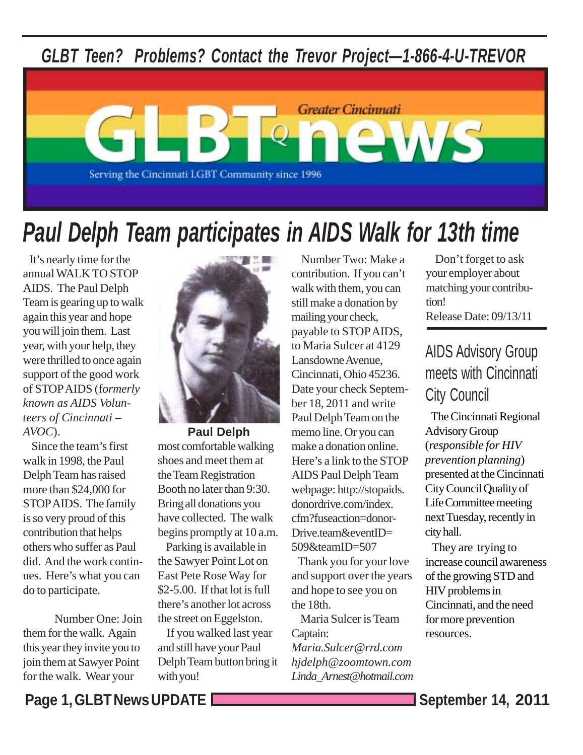*GLBT Teen? Problems? Contact the Trevor Project—1-866-4-U-TREVOR*



# *Paul Delph Team participates in AIDS Walk for 13th time*

 It's nearly time for the annual WALK TO STOP AIDS. The Paul Delph Team is gearing up to walk again this year and hope you will join them. Last year, with your help, they were thrilled to once again support of the good work of STOP AIDS (f*ormerly known as AIDS Volunteers of Cincinnati – AVOC*).

 Since the team's first walk in 1998, the Paul Delph Team has raised more than \$24,000 for STOP AIDS. The family is so very proud of this contribution that helps others who suffer as Paul did. And the work continues. Here's what you can do to participate.

 Number One: Join them for the walk. Again this year they invite you to join them at Sawyer Point for the walk. Wear your



**Paul Delph** most comfortable walking shoes and meet them at the Team Registration Booth no later than 9:30. Bring all donations you have collected. The walk begins promptly at 10 a.m.

 Parking is available in the Sawyer Point Lot on East Pete Rose Way for \$2-5.00. If that lot is full there's another lot across the street on Eggelston.

 If you walked last year and still have your Paul Delph Team button bring it with you!

 Number Two: Make a contribution. If you can't walk with them, you can still make a donation by mailing your check, payable to STOP AIDS, to Maria Sulcer at 4129 Lansdowne Avenue, Cincinnati, Ohio 45236. Date your check September 18, 2011 and write Paul Delph Team on the memo line. Or you can make a donation online. Here's a link to the STOP AIDS Paul Delph Team webpage: http://stopaids. donordrive.com/index. cfm?fuseaction=donor-Drive.team&eventID= 509&teamID=507

 Thank you for your love and support over the years and hope to see you on the 18th.

 Maria Sulcer is Team Captain:

*Maria.Sulcer@rrd.com hjdelph@zoomtown.com Linda\_Arnest@hotmail.com*

 Don't forget to ask your employer about matching your contribution! Release Date: 09/13/11

## AIDS Advisory Group meets with Cincinnati City Council

 The Cincinnati Regional Advisory Group (*responsible for HIV prevention planning*) presented at the Cincinnati City Council Quality of Life Committee meeting next Tuesday, recently in city hall.

 They are trying to increase council awareness of the growing STD and HIV problems in Cincinnati, and the need for more prevention resources.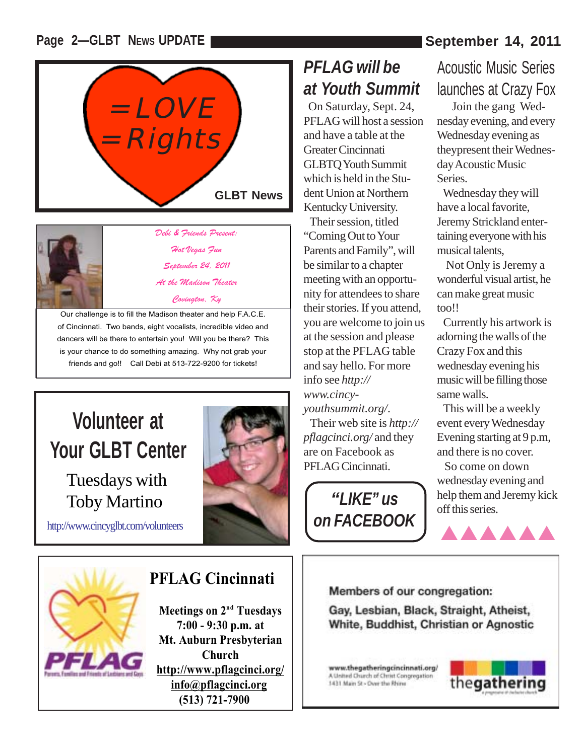#### **Page 2-GLBT NEWS UPDATE September 14, 2011**





*Debi & Friends Present: Hot Vegas Fun September 24, 2011 At the Madison Theater* 

*Covington, Ky* 

Our challenge is to fill the Madison theater and help F.A.C.E. of Cincinnati. Two bands, eight vocalists, incredible video and dancers will be there to entertain you! Will you be there? This is your chance to do something amazing. Why not grab your friends and go!! Call Debi at 513-722-9200 for tickets!

# **Volunteer at Your GLBT Center**

Tuesdays with Toby Martino

http://www.cincyglbt.com/volunteers



# *PFLAG will be at Youth Summit*

 On Saturday, Sept. 24, PFLAG will host a session and have a table at the Greater Cincinnati GLBTQ Youth Summit which is held in the Student Union at Northern Kentucky University.

 Their session, titled "Coming Out to Your Parents and Family", will be similar to a chapter meeting with an opportunity for attendees to share their stories. If you attend, you are welcome to join us at the session and please stop at the PFLAG table and say hello. For more info see *http:// www.cincyyouthsummit.org/*. Their web site is *http:// pflagcinci.org/* and they are on Facebook as PFLAG Cincinnati.



# Acoustic Music Series launches at Crazy Fox

 Join the gang Wednesday evening, and every Wednesday evening as theypresent their Wednesday Acoustic Music Series.

 Wednesday they will have a local favorite, Jeremy Strickland entertaining everyone with his musical talents,

 Not Only is Jeremy a wonderful visual artist, he can make great music too!!

 Currently his artwork is adorning the walls of the Crazy Fox and this wednesday evening his music will be filling those same walls.

 This will be a weekly event every Wednesday Evening starting at 9 p.m, and there is no cover.

 So come on down wednesday evening and help them and Jeremy kick off this series.

AAAAAA

Members of our congregation:

Gay, Lesbian, Black, Straight, Atheist, White, Buddhist, Christian or Agnostic

www.thegatheringcincinnati.org/ A United Church of Christ Congregation 1431 Main St - Over the Rhine





### **PFLAG Cincinnati**

**Meetings on 2<sup>nd</sup> Tuesdays 7:00 - 9:30 p.m. at Mt. Auburn Presbyterian Church http://www.pflagcinci.org/ info@pflagcinci.org (513) 721-7900**